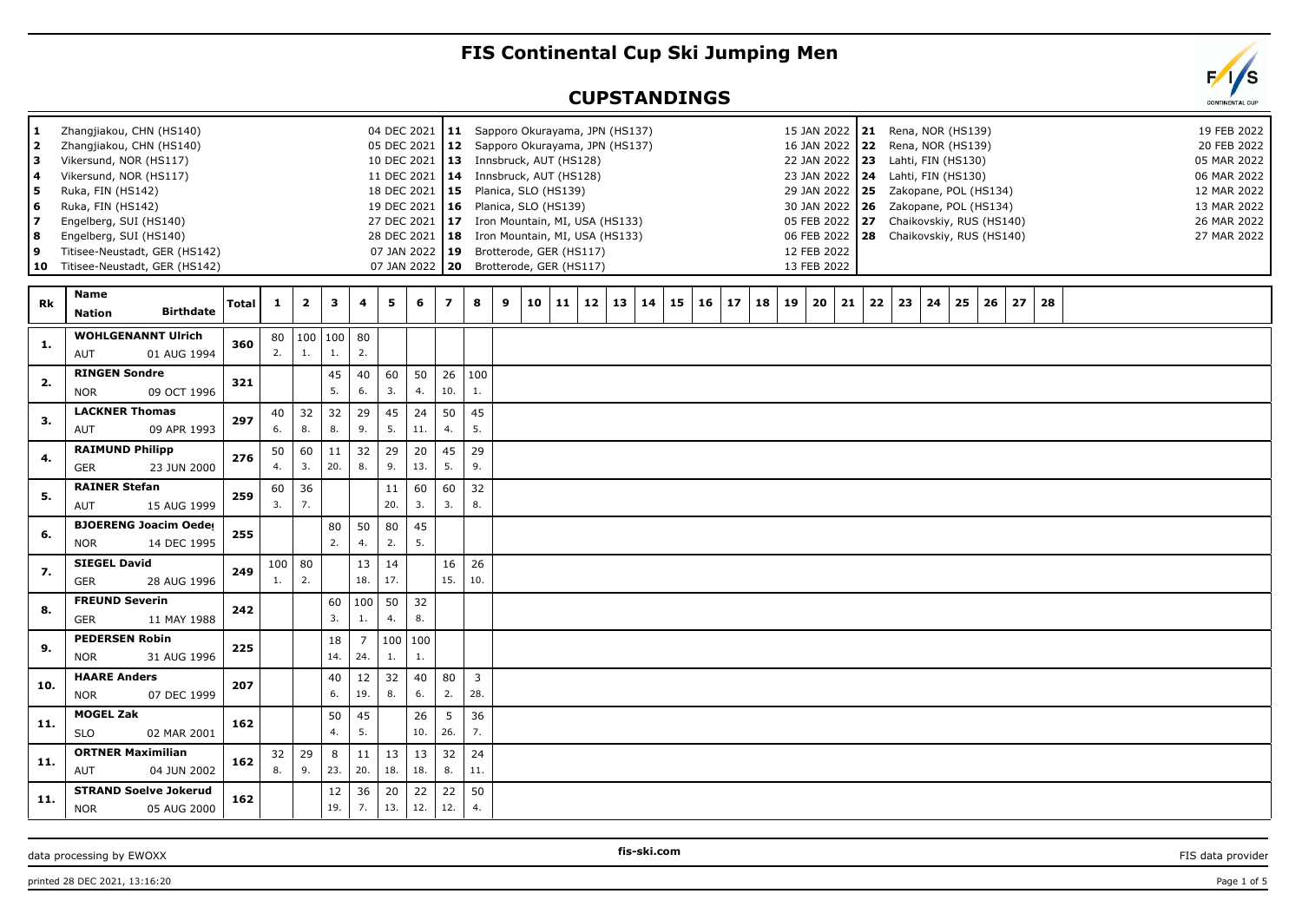## **FIS Continental Cup Ski Jumping Men**

## **CUPSTANDINGS**

| 1<br>$\overline{\mathbf{2}}$<br>з<br>4<br>5<br>6<br>7<br>8<br>9 | Zhangjiakou, CHN (HS140)<br>Zhangjiakou, CHN (HS140)<br>Vikersund, NOR (HS117)<br>Vikersund, NOR (HS117)<br>Ruka, FIN (HS142)<br>Ruka, FIN (HS142)<br>Engelberg, SUI (HS140)<br>Engelberg, SUI (HS140)<br>Titisee-Neustadt, GER (HS142)<br>10 Titisee-Neustadt, GER (HS142) |       |                       |                         |           |                       | 05 DEC 2021<br>18 DEC 2021<br>27 DEC 2021 | 04 DEC 2021   11<br>10 DEC 2021   13<br>19 DEC 2021<br>28 DEC 2021   18<br>07 JAN 2022 19 | $ 12\rangle$<br>  15 |                     |   | Sapporo Okurayama, JPN (HS137)<br>Sapporo Okurayama, JPN (HS137)<br>Innsbruck, AUT (HS128)<br>11 DEC 2021   14 Innsbruck, AUT (HS128)<br>Planica, SLO (HS139)<br>$16$ Planica, SLO (HS139)<br>17 Iron Mountain, MI, USA (HS133)<br>Iron Mountain, MI, USA (HS133)<br>Brotterode, GER (HS117)<br>07 JAN 2022   20 Brotterode, GER (HS117) |    |    |    |    |    |    |    |    |    | 12 FEB 2022<br>13 FEB 2022 | 15 JAN 2022   21<br>16 JAN 2022 22 Rena, NOR (HS139)<br>22 JAN 2022   23<br>23 JAN 2022 24<br>29 JAN 2022 25<br>30 JAN 2022   26<br>05 FEB 2022 27 |    |    |    | Rena, NOR (HS139)<br>Lahti, FIN (HS130)<br>Lahti, FIN (HS130)<br>Zakopane, POL (HS134)<br>Zakopane, POL (HS134) |    | Chaikovskiy, RUS (HS140)<br>06 FEB 2022 28 Chaikovskiy, RUS (HS140) |    |  |  |  | 05 MAR 2022<br>06 MAR 2022<br>12 MAR 2022<br>13 MAR 2022<br>26 MAR 2022<br>27 MAR 2022 | 19 FEB 2022<br>20 FEB 2022 |  |
|-----------------------------------------------------------------|-----------------------------------------------------------------------------------------------------------------------------------------------------------------------------------------------------------------------------------------------------------------------------|-------|-----------------------|-------------------------|-----------|-----------------------|-------------------------------------------|-------------------------------------------------------------------------------------------|----------------------|---------------------|---|------------------------------------------------------------------------------------------------------------------------------------------------------------------------------------------------------------------------------------------------------------------------------------------------------------------------------------------|----|----|----|----|----|----|----|----|----|----------------------------|----------------------------------------------------------------------------------------------------------------------------------------------------|----|----|----|-----------------------------------------------------------------------------------------------------------------|----|---------------------------------------------------------------------|----|--|--|--|----------------------------------------------------------------------------------------|----------------------------|--|
| Rk                                                              | Name<br><b>Birthdate</b><br><b>Nation</b>                                                                                                                                                                                                                                   | Total | $\mathbf{1}$          | $\overline{\mathbf{2}}$ | 3         | 4                     | 5                                         | 6                                                                                         | $\overline{z}$       | 8                   | 9 | 10                                                                                                                                                                                                                                                                                                                                       | 11 | 12 | 13 | 14 | 15 | 16 | 17 | 18 | 19 | 20                         | 21                                                                                                                                                 | 22 | 23 | 24 | 25                                                                                                              | 26 | 27                                                                  | 28 |  |  |  |                                                                                        |                            |  |
| 1.                                                              | <b>WOHLGENANNT Ulrich</b><br>01 AUG 1994<br>AUT                                                                                                                                                                                                                             | 360   | 80<br>2.              | 100 100<br>1.           | 1.        | 80<br>2.              |                                           |                                                                                           |                      |                     |   |                                                                                                                                                                                                                                                                                                                                          |    |    |    |    |    |    |    |    |    |                            |                                                                                                                                                    |    |    |    |                                                                                                                 |    |                                                                     |    |  |  |  |                                                                                        |                            |  |
| 2.                                                              | <b>RINGEN Sondre</b><br><b>NOR</b><br>09 OCT 1996                                                                                                                                                                                                                           | 321   |                       |                         | 45<br>5.  | 40<br>6.              | 60<br>3.                                  | 50<br>4.                                                                                  | 26<br>10.            | 100<br>1.           |   |                                                                                                                                                                                                                                                                                                                                          |    |    |    |    |    |    |    |    |    |                            |                                                                                                                                                    |    |    |    |                                                                                                                 |    |                                                                     |    |  |  |  |                                                                                        |                            |  |
| 3.                                                              | <b>LACKNER Thomas</b><br>AUT<br>09 APR 1993                                                                                                                                                                                                                                 | 297   | 40<br>6.              | 32<br>8.                | 32<br>8.  | 29<br>9.              | 45<br>5.                                  | 24<br>11.                                                                                 | 50<br>4.             | 45<br>5.            |   |                                                                                                                                                                                                                                                                                                                                          |    |    |    |    |    |    |    |    |    |                            |                                                                                                                                                    |    |    |    |                                                                                                                 |    |                                                                     |    |  |  |  |                                                                                        |                            |  |
| 4.                                                              | <b>RAIMUND Philipp</b><br><b>GER</b><br>23 JUN 2000                                                                                                                                                                                                                         | 276   | 50<br>4.              | 60<br>3.                | 11<br>20. | 32<br>8.              | 29<br>9.                                  | 20<br>13.                                                                                 | 45<br>5.             | 29<br>9.            |   |                                                                                                                                                                                                                                                                                                                                          |    |    |    |    |    |    |    |    |    |                            |                                                                                                                                                    |    |    |    |                                                                                                                 |    |                                                                     |    |  |  |  |                                                                                        |                            |  |
| 5.                                                              | <b>RAINER Stefan</b><br>AUT<br>15 AUG 1999                                                                                                                                                                                                                                  | 259   | 60<br>3.              | 36<br>7.                |           |                       | 11<br>20.                                 | 60<br>3.                                                                                  | 60<br>3.             | 32<br>8.            |   |                                                                                                                                                                                                                                                                                                                                          |    |    |    |    |    |    |    |    |    |                            |                                                                                                                                                    |    |    |    |                                                                                                                 |    |                                                                     |    |  |  |  |                                                                                        |                            |  |
| 6.                                                              | <b>BJOERENG Joacim Oeder</b><br>14 DEC 1995<br><b>NOR</b>                                                                                                                                                                                                                   | 255   |                       |                         | 80<br>2.  | 50<br>4.              | 80<br>2.                                  | 45<br>5.                                                                                  |                      |                     |   |                                                                                                                                                                                                                                                                                                                                          |    |    |    |    |    |    |    |    |    |                            |                                                                                                                                                    |    |    |    |                                                                                                                 |    |                                                                     |    |  |  |  |                                                                                        |                            |  |
| -7.                                                             | <b>SIEGEL David</b><br><b>GER</b><br>28 AUG 1996                                                                                                                                                                                                                            | 249   | 100<br>$\mathbf{1}$ . | 80<br>2.                |           | 13<br>18.             | 14<br>17.                                 |                                                                                           | 16<br>15.            | 26<br>10.           |   |                                                                                                                                                                                                                                                                                                                                          |    |    |    |    |    |    |    |    |    |                            |                                                                                                                                                    |    |    |    |                                                                                                                 |    |                                                                     |    |  |  |  |                                                                                        |                            |  |
| 8.                                                              | <b>FREUND Severin</b><br><b>GER</b><br>11 MAY 1988                                                                                                                                                                                                                          | 242   |                       |                         | 60<br>3.  | 100<br>1.             | 50<br>4.                                  | 32<br>8.                                                                                  |                      |                     |   |                                                                                                                                                                                                                                                                                                                                          |    |    |    |    |    |    |    |    |    |                            |                                                                                                                                                    |    |    |    |                                                                                                                 |    |                                                                     |    |  |  |  |                                                                                        |                            |  |
| 9.                                                              | <b>PEDERSEN Robin</b><br><b>NOR</b><br>31 AUG 1996                                                                                                                                                                                                                          | 225   |                       |                         | 18<br>14. | $\overline{7}$<br>24. | 100<br>1.                                 | 100<br>$\mathbf{1}$ .                                                                     |                      |                     |   |                                                                                                                                                                                                                                                                                                                                          |    |    |    |    |    |    |    |    |    |                            |                                                                                                                                                    |    |    |    |                                                                                                                 |    |                                                                     |    |  |  |  |                                                                                        |                            |  |
| 10.                                                             | <b>HAARE Anders</b><br><b>NOR</b><br>07 DEC 1999                                                                                                                                                                                                                            | 207   |                       |                         | 40<br>6.  | 12<br>19.             | 32<br>8.                                  | 40<br>6.                                                                                  | 80<br>2.             | $\mathbf{3}$<br>28. |   |                                                                                                                                                                                                                                                                                                                                          |    |    |    |    |    |    |    |    |    |                            |                                                                                                                                                    |    |    |    |                                                                                                                 |    |                                                                     |    |  |  |  |                                                                                        |                            |  |
| 11.                                                             | <b>MOGEL Zak</b><br><b>SLO</b><br>02 MAR 2001                                                                                                                                                                                                                               | 162   |                       |                         | 50<br>4.  | 45<br>5.              |                                           | 26<br>10.                                                                                 | 5<br>26.             | 36<br>7.            |   |                                                                                                                                                                                                                                                                                                                                          |    |    |    |    |    |    |    |    |    |                            |                                                                                                                                                    |    |    |    |                                                                                                                 |    |                                                                     |    |  |  |  |                                                                                        |                            |  |
| 11.                                                             | <b>ORTNER Maximilian</b><br>04 JUN 2002<br>AUT                                                                                                                                                                                                                              | 162   | 32<br>8.              | 29<br>9.                | 8<br>23.  | 11<br>20.             | 13<br>18.                                 | 13<br>18.                                                                                 | 32<br>8.             | 24<br>11.           |   |                                                                                                                                                                                                                                                                                                                                          |    |    |    |    |    |    |    |    |    |                            |                                                                                                                                                    |    |    |    |                                                                                                                 |    |                                                                     |    |  |  |  |                                                                                        |                            |  |
| 11.                                                             | <b>STRAND Soelve Jokerud</b><br><b>NOR</b><br>05 AUG 2000                                                                                                                                                                                                                   | 162   |                       |                         | 12<br>19. | 36<br>7.              | 20<br>13.                                 | 22<br>12.                                                                                 | 22<br>12.            | 50<br>4.            |   |                                                                                                                                                                                                                                                                                                                                          |    |    |    |    |    |    |    |    |    |                            |                                                                                                                                                    |    |    |    |                                                                                                                 |    |                                                                     |    |  |  |  |                                                                                        |                            |  |
|                                                                 |                                                                                                                                                                                                                                                                             |       |                       |                         |           |                       |                                           |                                                                                           |                      |                     |   |                                                                                                                                                                                                                                                                                                                                          |    |    |    |    |    |    |    |    |    |                            |                                                                                                                                                    |    |    |    |                                                                                                                 |    |                                                                     |    |  |  |  |                                                                                        |                            |  |

data processing by EWOXX **FIS-SKI.com FIS-SKI.com FIS** data provider **FIS** data provider

**fis-ski.com**

printed 28 DEC 2021, 13:16:20 Page 1 of 5

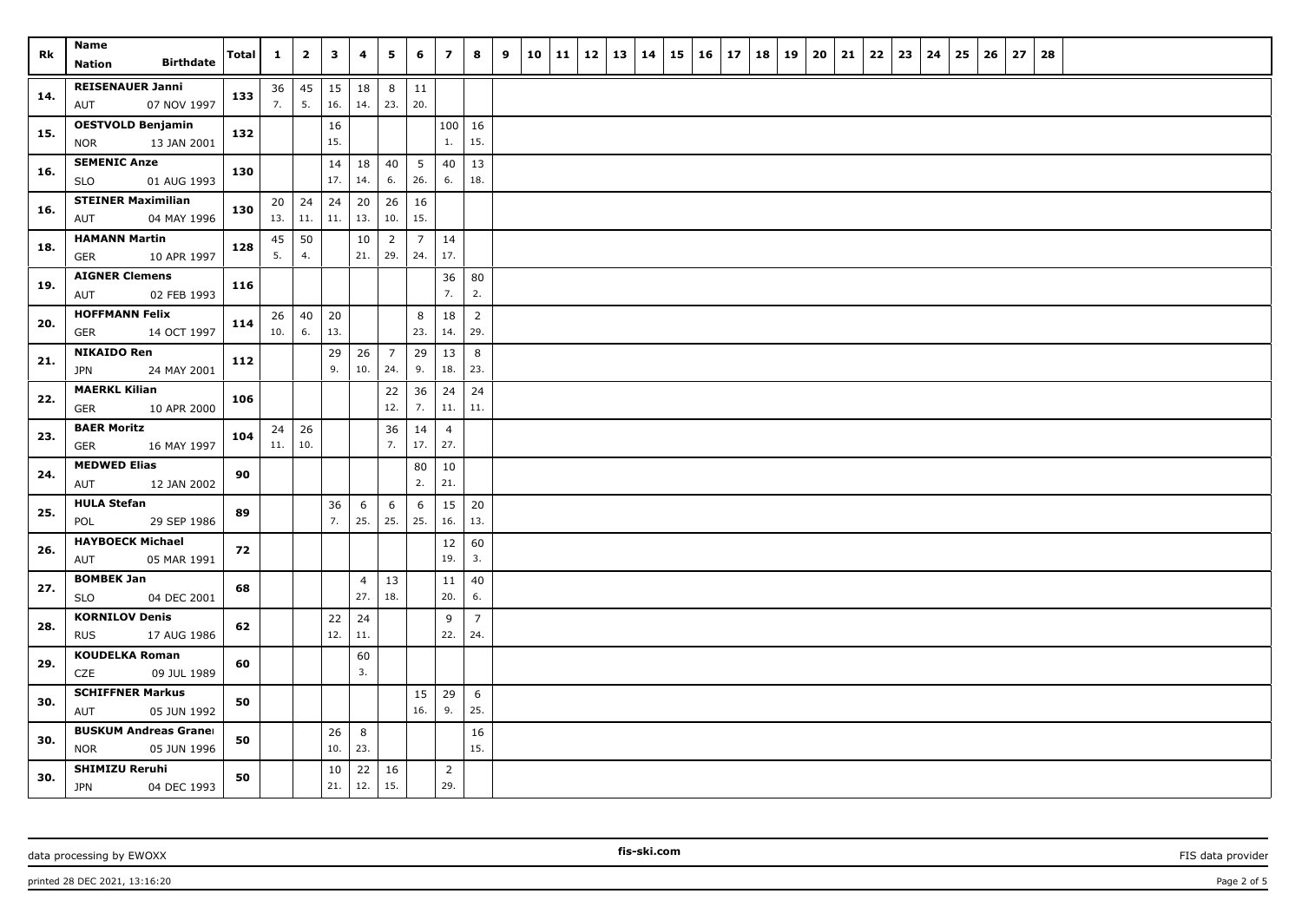| Rk  | Name<br><b>Birthdate</b><br>Nation                    | Total | $\mathbf{1}$ | $\overline{2}$ | $\mathbf{3}$ | 4                     | 5                     | 6         | $\overline{z}$        | 8                     | 9 | 10 | $11 \mid 12 \mid 13$ | 14 | 15 | 16 | 17 | 18 | 19 | 20 | 21 | 22 | 23 | 24 | 25 | 26 | 27 | 28 |  |  |  |
|-----|-------------------------------------------------------|-------|--------------|----------------|--------------|-----------------------|-----------------------|-----------|-----------------------|-----------------------|---|----|----------------------|----|----|----|----|----|----|----|----|----|----|----|----|----|----|----|--|--|--|
| 14. | <b>REISENAUER Janni</b><br>07 NOV 1997<br>AUT         | 133   | 36<br>7.     | 45<br>5.       | 15<br>16.    | 18<br>14.             | 8<br>23.              | 11<br>20. |                       |                       |   |    |                      |    |    |    |    |    |    |    |    |    |    |    |    |    |    |    |  |  |  |
| 15. | <b>OESTVOLD Benjamin</b><br>13 JAN 2001<br><b>NOR</b> | 132   |              |                | 16<br>15.    |                       |                       |           | $\mathbf{1}$ .        | 100   16<br>15.       |   |    |                      |    |    |    |    |    |    |    |    |    |    |    |    |    |    |    |  |  |  |
| 16. | <b>SEMENIC Anze</b><br><b>SLO</b><br>01 AUG 1993      | 130   |              |                | 14<br>17.    | 18<br>14.             | 40<br>6.              | 5<br>26.  | 40<br>6.              | 13<br>18.             |   |    |                      |    |    |    |    |    |    |    |    |    |    |    |    |    |    |    |  |  |  |
| 16. | <b>STEINER Maximilian</b><br>04 MAY 1996<br>AUT       | 130   | 20<br>13.    | 24<br>$11.$    | 24<br>11.    | 20<br>13.             | 26<br>10.             | 16<br>15. |                       |                       |   |    |                      |    |    |    |    |    |    |    |    |    |    |    |    |    |    |    |  |  |  |
| 18. | <b>HAMANN Martin</b><br><b>GER</b><br>10 APR 1997     | 128   | 45<br>5.     | 50<br>4.       |              | 10<br>21.             | $\overline{2}$<br>29. | 7<br>24.  | 14<br>17.             |                       |   |    |                      |    |    |    |    |    |    |    |    |    |    |    |    |    |    |    |  |  |  |
| 19. | <b>AIGNER Clemens</b><br>02 FEB 1993<br>AUT           | 116   |              |                |              |                       |                       |           | 36<br>7.              | 80<br>2.              |   |    |                      |    |    |    |    |    |    |    |    |    |    |    |    |    |    |    |  |  |  |
| 20. | <b>HOFFMANN Felix</b><br>14 OCT 1997<br>GER           | 114   | 26<br>10.    | 40<br>6.       | 20<br>13.    |                       |                       | 8<br>23.  | 18<br>14.             | $\overline{2}$<br>29. |   |    |                      |    |    |    |    |    |    |    |    |    |    |    |    |    |    |    |  |  |  |
| 21. | <b>NIKAIDO Ren</b><br>JPN<br>24 MAY 2001              | 112   |              |                | 29<br>9.     | 26<br>10.             | $\overline{7}$<br>24. | 29<br>9.  | 13<br>18.             | 8<br>23.              |   |    |                      |    |    |    |    |    |    |    |    |    |    |    |    |    |    |    |  |  |  |
| 22. | <b>MAERKL Kilian</b><br><b>GER</b><br>10 APR 2000     | 106   |              |                |              |                       | 22<br>12.             | 36<br>7.  | 24<br>11.             | 24<br>11.             |   |    |                      |    |    |    |    |    |    |    |    |    |    |    |    |    |    |    |  |  |  |
| 23. | <b>BAER Moritz</b><br><b>GER</b><br>16 MAY 1997       | 104   | 24<br>11.    | 26<br>10.      |              |                       | 36<br>7.              | 14<br>17. | $\overline{4}$<br>27. |                       |   |    |                      |    |    |    |    |    |    |    |    |    |    |    |    |    |    |    |  |  |  |
| 24. | <b>MEDWED Elias</b><br>AUT<br>12 JAN 2002             | 90    |              |                |              |                       |                       | 80<br>2.  | 10<br>21.             |                       |   |    |                      |    |    |    |    |    |    |    |    |    |    |    |    |    |    |    |  |  |  |
| 25. | <b>HULA Stefan</b><br>29 SEP 1986<br>POL              | 89    |              |                | 36<br>7.     | 6<br>25.              | 6<br>25.              | 6<br>25.  | 15<br>16.             | 20<br>13.             |   |    |                      |    |    |    |    |    |    |    |    |    |    |    |    |    |    |    |  |  |  |
| 26. | <b>HAYBOECK Michael</b><br>05 MAR 1991<br>AUT         | 72    |              |                |              |                       |                       |           | 12<br>19.             | 60<br>3.              |   |    |                      |    |    |    |    |    |    |    |    |    |    |    |    |    |    |    |  |  |  |
| 27. | <b>BOMBEK Jan</b><br>SLO<br>04 DEC 2001               | 68    |              |                |              | $\overline{4}$<br>27. | 13<br>18.             |           | 11<br>20.             | 40<br>6.              |   |    |                      |    |    |    |    |    |    |    |    |    |    |    |    |    |    |    |  |  |  |
| 28. | <b>KORNILOV Denis</b><br><b>RUS</b><br>17 AUG 1986    | 62    |              |                | 22<br>12.    | 24<br>11.             |                       |           | 9<br>22.              | $\overline{7}$<br>24. |   |    |                      |    |    |    |    |    |    |    |    |    |    |    |    |    |    |    |  |  |  |
| 29. | <b>KOUDELKA Roman</b><br>CZE<br>09 JUL 1989           | 60    |              |                |              | 60<br>3.              |                       |           |                       |                       |   |    |                      |    |    |    |    |    |    |    |    |    |    |    |    |    |    |    |  |  |  |
| 30. | <b>SCHIFFNER Markus</b><br>AUT<br>05 JUN 1992         | 50    |              |                |              |                       |                       | 15<br>16. | 29<br>9.              | 6<br>25.              |   |    |                      |    |    |    |    |    |    |    |    |    |    |    |    |    |    |    |  |  |  |
| 30. | <b>BUSKUM Andreas Graner</b><br>NOR<br>05 JUN 1996    | 50    |              |                | 26<br>10.    | 8<br>23.              |                       |           |                       | 16<br>15.             |   |    |                      |    |    |    |    |    |    |    |    |    |    |    |    |    |    |    |  |  |  |
| 30. | <b>SHIMIZU Reruhi</b><br><b>JPN</b><br>04 DEC 1993    | 50    |              |                | 10<br>21.    | 22<br>12.             | 16<br>15.             |           | $\overline{2}$<br>29. |                       |   |    |                      |    |    |    |    |    |    |    |    |    |    |    |    |    |    |    |  |  |  |

printed 28 DEC 2021, 13:16:20 Page 2 of 5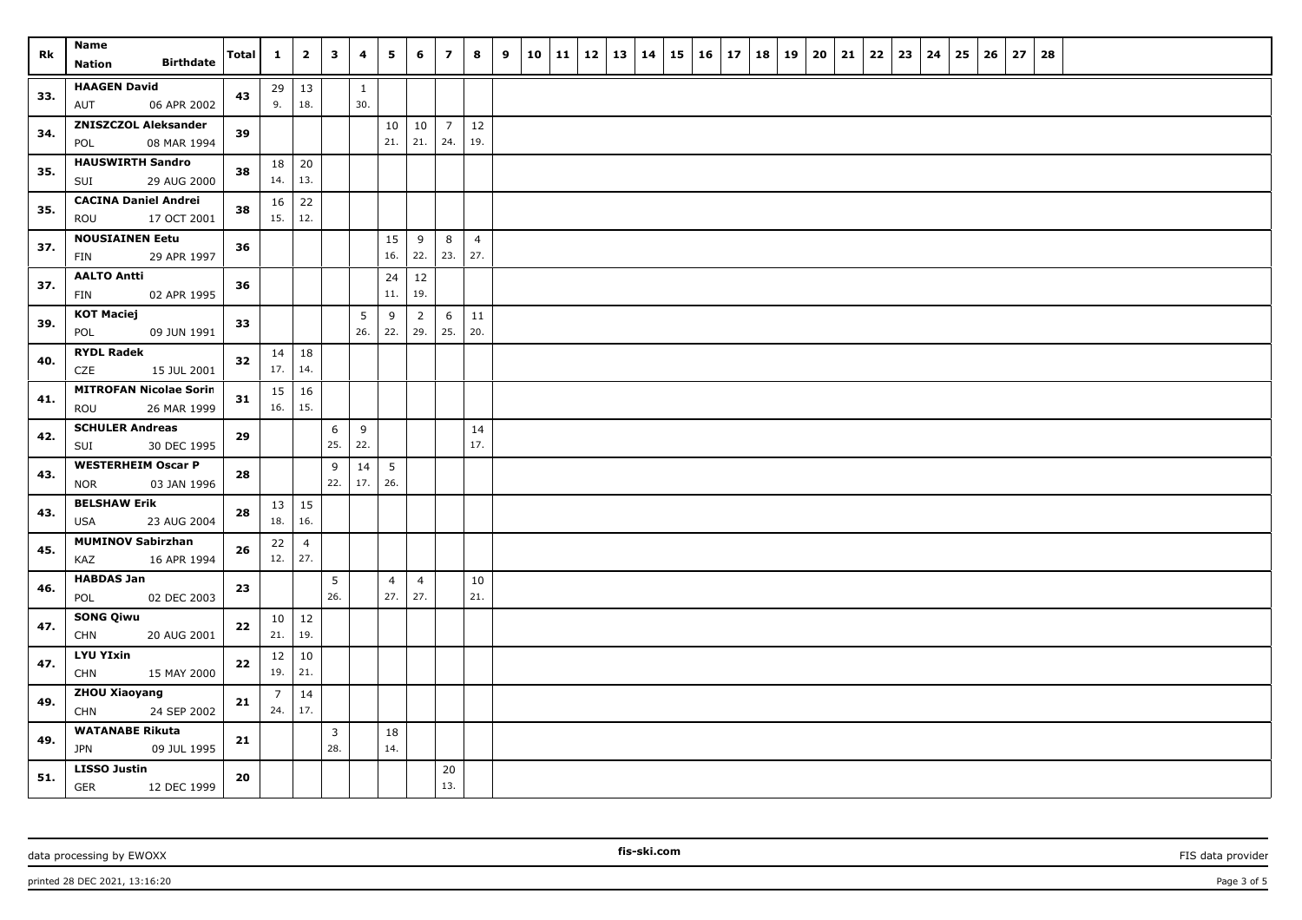| Rk  | Name<br><b>Birthdate</b><br>Nation           | <b>Total</b> | $\mathbf{1}$    | $\overline{2}$        | $\mathbf{3}$          | 4                   | 5                     | 6                     | $\overline{z}$ | 8              | 9 | 10 11 | 12 | 13 14 | 15 | 16 | 17 | 18 19 | 20 | 21 | 22 | 23 | 24 | 25 | 26 | 27 | 28 |  |  |  |
|-----|----------------------------------------------|--------------|-----------------|-----------------------|-----------------------|---------------------|-----------------------|-----------------------|----------------|----------------|---|-------|----|-------|----|----|----|-------|----|----|----|----|----|----|----|----|----|--|--|--|
|     | <b>HAAGEN David</b>                          |              |                 |                       |                       |                     |                       |                       |                |                |   |       |    |       |    |    |    |       |    |    |    |    |    |    |    |    |    |  |  |  |
| 33. | AUT<br>06 APR 2002                           | 43           | 29<br>9.        | $\vert$ 13<br>18.     |                       | $\mathbf{1}$<br>30. |                       |                       |                |                |   |       |    |       |    |    |    |       |    |    |    |    |    |    |    |    |    |  |  |  |
|     | <b>ZNISZCZOL Aleksander</b>                  |              |                 |                       |                       |                     | 10                    | 10                    | $\overline{7}$ | 12             |   |       |    |       |    |    |    |       |    |    |    |    |    |    |    |    |    |  |  |  |
| 34. | 08 MAR 1994<br>POL                           | 39           |                 |                       |                       |                     | 21.                   | 21.                   | 24.            | 19.            |   |       |    |       |    |    |    |       |    |    |    |    |    |    |    |    |    |  |  |  |
|     | <b>HAUSWIRTH Sandro</b>                      |              | 18              | 20                    |                       |                     |                       |                       |                |                |   |       |    |       |    |    |    |       |    |    |    |    |    |    |    |    |    |  |  |  |
| 35. | 29 AUG 2000<br>SUI                           | 38           | 14.             | 13.                   |                       |                     |                       |                       |                |                |   |       |    |       |    |    |    |       |    |    |    |    |    |    |    |    |    |  |  |  |
| 35. | <b>CACINA Daniel Andrei</b>                  | 38           | 16              | 22                    |                       |                     |                       |                       |                |                |   |       |    |       |    |    |    |       |    |    |    |    |    |    |    |    |    |  |  |  |
|     | ROU<br>17 OCT 2001                           |              | 15.             | 12.                   |                       |                     |                       |                       |                |                |   |       |    |       |    |    |    |       |    |    |    |    |    |    |    |    |    |  |  |  |
| 37. | <b>NOUSIAINEN Eetu</b>                       | 36           |                 |                       |                       |                     | 15                    | 9                     | 8              | $\overline{4}$ |   |       |    |       |    |    |    |       |    |    |    |    |    |    |    |    |    |  |  |  |
|     | 29 APR 1997<br>FIN                           |              |                 |                       |                       |                     | 16.                   | 22.                   | 23.            | 27.            |   |       |    |       |    |    |    |       |    |    |    |    |    |    |    |    |    |  |  |  |
| 37. | <b>AALTO Antti</b><br>02 APR 1995<br>FIN     | 36           |                 |                       |                       |                     | 24<br>11.             | 12<br>19.             |                |                |   |       |    |       |    |    |    |       |    |    |    |    |    |    |    |    |    |  |  |  |
|     | <b>KOT Maciej</b>                            |              |                 |                       |                       |                     |                       |                       | 6              | 11             |   |       |    |       |    |    |    |       |    |    |    |    |    |    |    |    |    |  |  |  |
| 39. | POL<br>09 JUN 1991                           | 33           |                 |                       |                       | 5<br>26.            | 9<br>22.              | $\overline{2}$<br>29. | 25.            | 20.            |   |       |    |       |    |    |    |       |    |    |    |    |    |    |    |    |    |  |  |  |
|     | <b>RYDL Radek</b>                            |              | 14              | 18                    |                       |                     |                       |                       |                |                |   |       |    |       |    |    |    |       |    |    |    |    |    |    |    |    |    |  |  |  |
| 40. | CZE<br>15 JUL 2001                           | 32           | 17.             | 14.                   |                       |                     |                       |                       |                |                |   |       |    |       |    |    |    |       |    |    |    |    |    |    |    |    |    |  |  |  |
|     | <b>MITROFAN Nicolae Sorin</b>                |              | 15              | 16                    |                       |                     |                       |                       |                |                |   |       |    |       |    |    |    |       |    |    |    |    |    |    |    |    |    |  |  |  |
| 41. | 26 MAR 1999<br>ROU                           | 31           | 16.             | 15.                   |                       |                     |                       |                       |                |                |   |       |    |       |    |    |    |       |    |    |    |    |    |    |    |    |    |  |  |  |
| 42. | <b>SCHULER Andreas</b>                       | 29           |                 |                       | 6                     | 9                   |                       |                       |                | 14             |   |       |    |       |    |    |    |       |    |    |    |    |    |    |    |    |    |  |  |  |
|     | SUI<br>30 DEC 1995                           |              |                 |                       | 25.                   | 22.                 |                       |                       |                | 17.            |   |       |    |       |    |    |    |       |    |    |    |    |    |    |    |    |    |  |  |  |
| 43. | <b>WESTERHEIM Oscar P</b>                    | 28           |                 |                       | 9                     | 14                  | 5                     |                       |                |                |   |       |    |       |    |    |    |       |    |    |    |    |    |    |    |    |    |  |  |  |
|     | <b>NOR</b><br>03 JAN 1996                    |              |                 |                       | 22.                   | 17.                 | 26.                   |                       |                |                |   |       |    |       |    |    |    |       |    |    |    |    |    |    |    |    |    |  |  |  |
| 43. | <b>BELSHAW Erik</b>                          | 28           | 13              | 15                    |                       |                     |                       |                       |                |                |   |       |    |       |    |    |    |       |    |    |    |    |    |    |    |    |    |  |  |  |
|     | 23 AUG 2004<br>USA                           |              | 18.             | 16.                   |                       |                     |                       |                       |                |                |   |       |    |       |    |    |    |       |    |    |    |    |    |    |    |    |    |  |  |  |
| 45. | <b>MUMINOV Sabirzhan</b>                     | 26           | 22<br>12.       | $\overline{4}$<br>27. |                       |                     |                       |                       |                |                |   |       |    |       |    |    |    |       |    |    |    |    |    |    |    |    |    |  |  |  |
|     | 16 APR 1994<br>KAZ<br><b>HABDAS Jan</b>      |              |                 |                       |                       |                     |                       |                       |                |                |   |       |    |       |    |    |    |       |    |    |    |    |    |    |    |    |    |  |  |  |
| 46. | 02 DEC 2003<br>POL                           | 23           |                 |                       | 5<br>26.              |                     | $\overline{4}$<br>27. | $\overline{4}$<br>27. |                | 10<br>21.      |   |       |    |       |    |    |    |       |    |    |    |    |    |    |    |    |    |  |  |  |
|     | <b>SONG Qiwu</b>                             |              | 10 <sup>1</sup> | $\vert$ 12            |                       |                     |                       |                       |                |                |   |       |    |       |    |    |    |       |    |    |    |    |    |    |    |    |    |  |  |  |
| 47. | <b>CHN</b><br>20 AUG 2001                    | 22           | 21.             | 19.                   |                       |                     |                       |                       |                |                |   |       |    |       |    |    |    |       |    |    |    |    |    |    |    |    |    |  |  |  |
| 47. | <b>LYU YIxin</b>                             | 22           | 12              | 10                    |                       |                     |                       |                       |                |                |   |       |    |       |    |    |    |       |    |    |    |    |    |    |    |    |    |  |  |  |
|     | <b>CHN</b><br>15 MAY 2000                    |              | 19.             | 21.                   |                       |                     |                       |                       |                |                |   |       |    |       |    |    |    |       |    |    |    |    |    |    |    |    |    |  |  |  |
| 49. | <b>ZHOU Xiaoyang</b>                         | 21           | $\overline{7}$  | 14                    |                       |                     |                       |                       |                |                |   |       |    |       |    |    |    |       |    |    |    |    |    |    |    |    |    |  |  |  |
|     | <b>CHN</b><br>24 SEP 2002                    |              | 24.             | 17.                   |                       |                     |                       |                       |                |                |   |       |    |       |    |    |    |       |    |    |    |    |    |    |    |    |    |  |  |  |
| 49. | <b>WATANABE Rikuta</b><br>JPN<br>09 JUL 1995 | 21           |                 |                       | $\overline{3}$<br>28. |                     | 18<br>14.             |                       |                |                |   |       |    |       |    |    |    |       |    |    |    |    |    |    |    |    |    |  |  |  |
|     | <b>LISSO Justin</b>                          |              |                 |                       |                       |                     |                       |                       | 20             |                |   |       |    |       |    |    |    |       |    |    |    |    |    |    |    |    |    |  |  |  |
| 51. | <b>GER</b><br>12 DEC 1999                    | 20           |                 |                       |                       |                     |                       |                       | 13.            |                |   |       |    |       |    |    |    |       |    |    |    |    |    |    |    |    |    |  |  |  |

data processing by EWOXX **Fission FIS data provider FIS data provider FIS data provider FIS data provider** 

printed 28 DEC 2021, 13:16:20 Page 3 of 5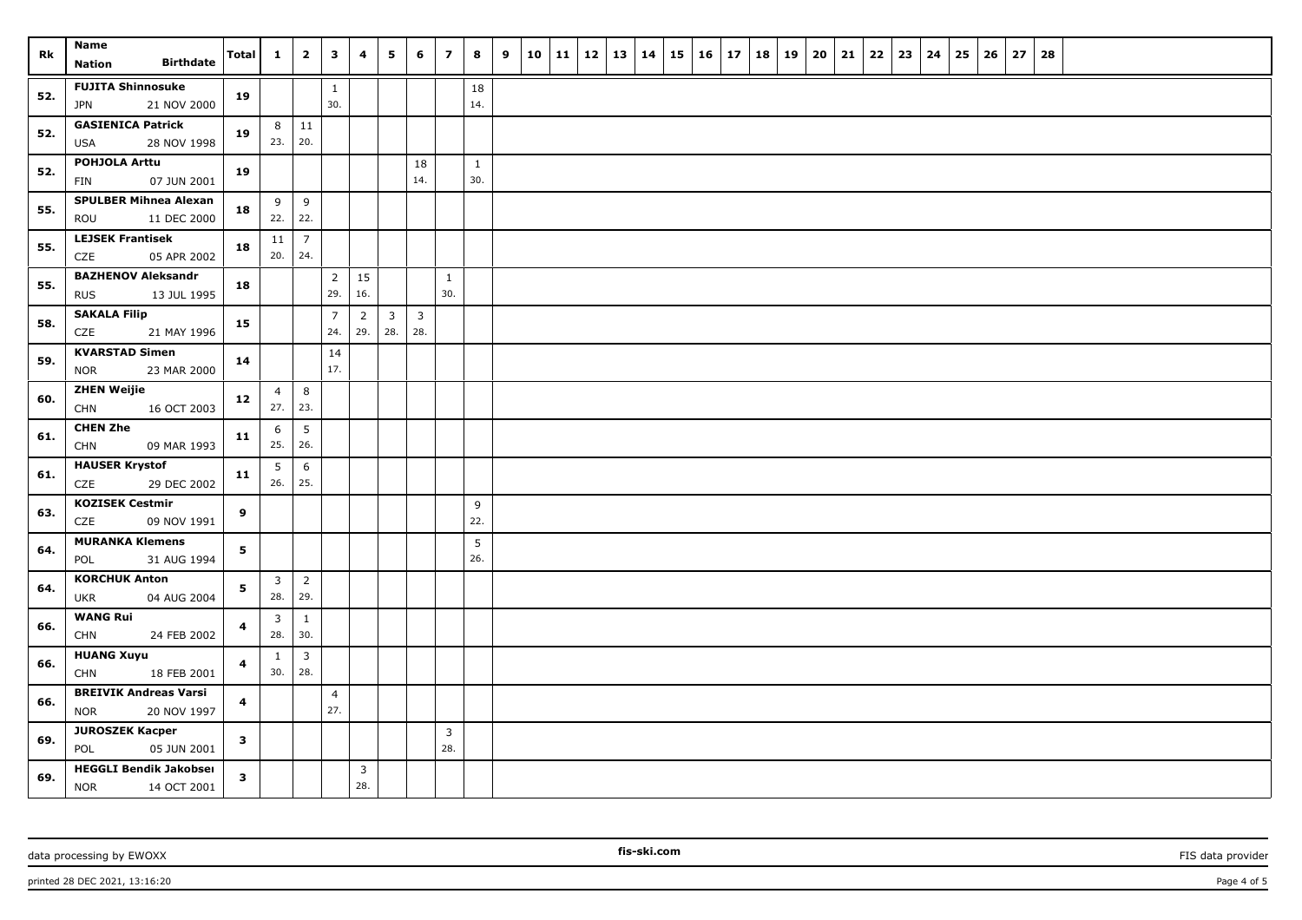| Rk  | <b>Name</b><br><b>Birthdate</b><br>Nation                  | Total        | $\mathbf{1}$          | $\overline{\mathbf{2}}$ | 3                     | 4                     | 5            | 6              | $\overline{z}$      | 8            | 9 | $10 \mid 11 \mid 12$ |  | 13   14 | 15 | 16 | 17 | 18 | 19 | 20 | 21 | 22 | 23 | 24 | 25 | 26 | 27 | 28 |  |  |  |
|-----|------------------------------------------------------------|--------------|-----------------------|-------------------------|-----------------------|-----------------------|--------------|----------------|---------------------|--------------|---|----------------------|--|---------|----|----|----|----|----|----|----|----|----|----|----|----|----|----|--|--|--|
|     | <b>FUJITA Shinnosuke</b>                                   |              |                       |                         |                       |                       |              |                |                     |              |   |                      |  |         |    |    |    |    |    |    |    |    |    |    |    |    |    |    |  |  |  |
| 52. | JPN<br>21 NOV 2000                                         | 19           |                       |                         | $\mathbf{1}$<br>30.   |                       |              |                |                     | 18<br>14.    |   |                      |  |         |    |    |    |    |    |    |    |    |    |    |    |    |    |    |  |  |  |
|     | <b>GASIENICA Patrick</b>                                   |              | 8                     | $\vert$ 11              |                       |                       |              |                |                     |              |   |                      |  |         |    |    |    |    |    |    |    |    |    |    |    |    |    |    |  |  |  |
| 52. | 28 NOV 1998<br><b>USA</b>                                  | 19           | 23.                   | 20.                     |                       |                       |              |                |                     |              |   |                      |  |         |    |    |    |    |    |    |    |    |    |    |    |    |    |    |  |  |  |
| 52. | POHJOLA Arttu                                              | 19           |                       |                         |                       |                       |              | 18             |                     | $\mathbf{1}$ |   |                      |  |         |    |    |    |    |    |    |    |    |    |    |    |    |    |    |  |  |  |
|     | 07 JUN 2001<br>FIN                                         |              |                       |                         |                       |                       |              | 14.            |                     | 30.          |   |                      |  |         |    |    |    |    |    |    |    |    |    |    |    |    |    |    |  |  |  |
| 55. | <b>SPULBER Mihnea Alexan</b>                               | 18           | 9                     | 9                       |                       |                       |              |                |                     |              |   |                      |  |         |    |    |    |    |    |    |    |    |    |    |    |    |    |    |  |  |  |
|     | 11 DEC 2000<br>ROU                                         |              | 22.                   | 22.                     |                       |                       |              |                |                     |              |   |                      |  |         |    |    |    |    |    |    |    |    |    |    |    |    |    |    |  |  |  |
| 55. | <b>LEJSEK Frantisek</b><br>CZE<br>05 APR 2002              | 18           | 11<br>20.             | $\overline{7}$<br>24.   |                       |                       |              |                |                     |              |   |                      |  |         |    |    |    |    |    |    |    |    |    |    |    |    |    |    |  |  |  |
| 55. | <b>BAZHENOV Aleksandr</b>                                  | 18           |                       |                         | $\overline{2}$<br>29. | 15<br>16.             |              |                | $\mathbf{1}$<br>30. |              |   |                      |  |         |    |    |    |    |    |    |    |    |    |    |    |    |    |    |  |  |  |
|     | 13 JUL 1995<br><b>RUS</b><br><b>SAKALA Filip</b>           |              |                       |                         | $\overline{7}$        | $\overline{2}$        | $\mathbf{3}$ | $\overline{3}$ |                     |              |   |                      |  |         |    |    |    |    |    |    |    |    |    |    |    |    |    |    |  |  |  |
| 58. | 21 MAY 1996<br>CZE                                         | 15           |                       |                         | 24.                   | 29.                   | 28.          | 28.            |                     |              |   |                      |  |         |    |    |    |    |    |    |    |    |    |    |    |    |    |    |  |  |  |
| 59. | <b>KVARSTAD Simen</b>                                      | 14           |                       |                         | 14                    |                       |              |                |                     |              |   |                      |  |         |    |    |    |    |    |    |    |    |    |    |    |    |    |    |  |  |  |
|     | 23 MAR 2000<br><b>NOR</b>                                  |              |                       |                         | 17.                   |                       |              |                |                     |              |   |                      |  |         |    |    |    |    |    |    |    |    |    |    |    |    |    |    |  |  |  |
| 60. | <b>ZHEN Weijie</b>                                         | 12           | $\overline{4}$        | 8                       |                       |                       |              |                |                     |              |   |                      |  |         |    |    |    |    |    |    |    |    |    |    |    |    |    |    |  |  |  |
|     | <b>CHN</b><br>16 OCT 2003                                  |              | 27.                   | 23.                     |                       |                       |              |                |                     |              |   |                      |  |         |    |    |    |    |    |    |    |    |    |    |    |    |    |    |  |  |  |
| 61. | <b>CHEN Zhe</b><br><b>CHN</b><br>09 MAR 1993               | 11           | 6<br>25.              | 5<br>26.                |                       |                       |              |                |                     |              |   |                      |  |         |    |    |    |    |    |    |    |    |    |    |    |    |    |    |  |  |  |
| 61. | <b>HAUSER Krystof</b><br>CZE<br>29 DEC 2002                | 11           | 5<br>26.              | 6<br>25.                |                       |                       |              |                |                     |              |   |                      |  |         |    |    |    |    |    |    |    |    |    |    |    |    |    |    |  |  |  |
|     | <b>KOZISEK Cestmir</b>                                     |              |                       |                         |                       |                       |              |                |                     | 9            |   |                      |  |         |    |    |    |    |    |    |    |    |    |    |    |    |    |    |  |  |  |
| 63. | CZE<br>09 NOV 1991                                         | 9            |                       |                         |                       |                       |              |                |                     | 22.          |   |                      |  |         |    |    |    |    |    |    |    |    |    |    |    |    |    |    |  |  |  |
| 64. | <b>MURANKA Klemens</b>                                     | 5            |                       |                         |                       |                       |              |                |                     | 5            |   |                      |  |         |    |    |    |    |    |    |    |    |    |    |    |    |    |    |  |  |  |
|     | 31 AUG 1994<br>POL                                         |              |                       |                         |                       |                       |              |                |                     | 26.          |   |                      |  |         |    |    |    |    |    |    |    |    |    |    |    |    |    |    |  |  |  |
| 64. | <b>KORCHUK Anton</b><br>04 AUG 2004<br>UKR                 | 5            | $\overline{3}$<br>28. | $\overline{2}$<br>29.   |                       |                       |              |                |                     |              |   |                      |  |         |    |    |    |    |    |    |    |    |    |    |    |    |    |    |  |  |  |
| 66. | <b>WANG Rui</b>                                            | 4            | $\overline{3}$        | $\mathbf{1}$            |                       |                       |              |                |                     |              |   |                      |  |         |    |    |    |    |    |    |    |    |    |    |    |    |    |    |  |  |  |
|     | <b>CHN</b><br>24 FEB 2002                                  |              | 28.                   | 30.                     |                       |                       |              |                |                     |              |   |                      |  |         |    |    |    |    |    |    |    |    |    |    |    |    |    |    |  |  |  |
| 66. | <b>HUANG Xuyu</b>                                          | 4            | $\mathbf{1}$          | $\overline{\mathbf{3}}$ |                       |                       |              |                |                     |              |   |                      |  |         |    |    |    |    |    |    |    |    |    |    |    |    |    |    |  |  |  |
|     | <b>CHN</b><br>18 FEB 2001                                  |              | 30.                   | 28.                     |                       |                       |              |                |                     |              |   |                      |  |         |    |    |    |    |    |    |    |    |    |    |    |    |    |    |  |  |  |
| 66. | <b>BREIVIK Andreas Varsi</b><br><b>NOR</b><br>20 NOV 1997  | 4            |                       |                         | $\overline{4}$<br>27. |                       |              |                |                     |              |   |                      |  |         |    |    |    |    |    |    |    |    |    |    |    |    |    |    |  |  |  |
|     | <b>JUROSZEK Kacper</b>                                     |              |                       |                         |                       |                       |              |                | $\overline{3}$      |              |   |                      |  |         |    |    |    |    |    |    |    |    |    |    |    |    |    |    |  |  |  |
| 69. | 05 JUN 2001<br>POL                                         | $\mathbf{3}$ |                       |                         |                       |                       |              |                | 28.                 |              |   |                      |  |         |    |    |    |    |    |    |    |    |    |    |    |    |    |    |  |  |  |
| 69. | <b>HEGGLI Bendik Jakobser</b><br><b>NOR</b><br>14 OCT 2001 | $\mathbf{3}$ |                       |                         |                       | $\overline{3}$<br>28. |              |                |                     |              |   |                      |  |         |    |    |    |    |    |    |    |    |    |    |    |    |    |    |  |  |  |

printed 28 DEC 2021, 13:16:20 Page 4 of 5